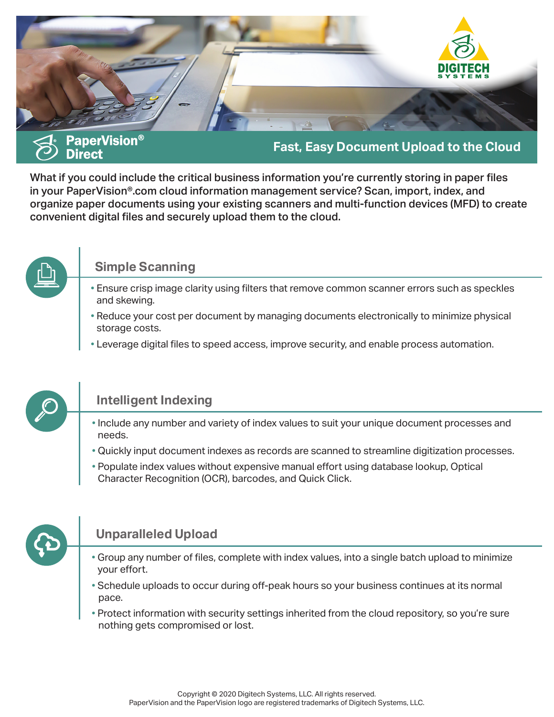

What if you could include the critical business information you're currently storing in paper files in your PaperVision®.com cloud information management service? Scan, import, index, and organize paper documents using your existing scanners and multi-function devices (MFD) to create convenient digital files and securely upload them to the cloud.



## **Simple Scanning**

- Ensure crisp image clarity using filters that remove common scanner errors such as speckles and skewing.
- Reduce your cost per document by managing documents electronically to minimize physical storage costs.
- Leverage digital files to speed access, improve security, and enable process automation.



# **Intelligent Indexing**

- Include any number and variety of index values to suit your unique document processes and needs.
- Quickly input document indexes as records are scanned to streamline digitization processes.
- Populate index values without expensive manual effort using database lookup, Optical Character Recognition (OCR), barcodes, and Quick Click.



# **Unparalleled Upload**

- Group any number of files, complete with index values, into a single batch upload to minimize your effort.
- Schedule uploads to occur during off-peak hours so your business continues at its normal pace.
- Protect information with security settings inherited from the cloud repository, so you're sure nothing gets compromised or lost.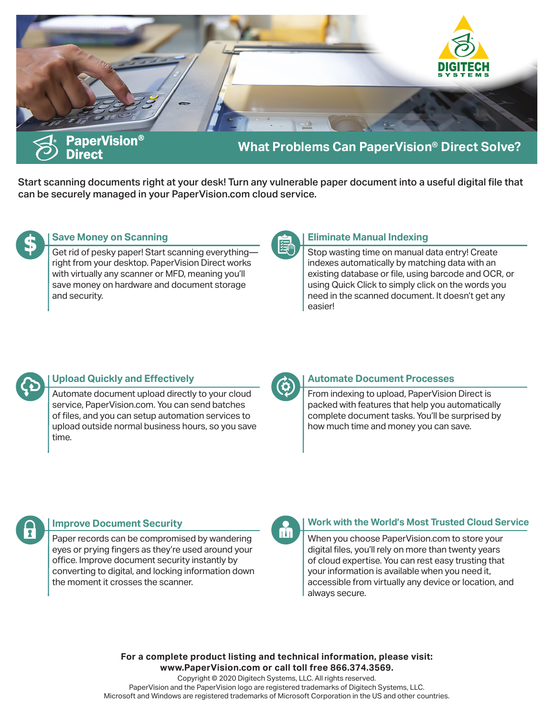

Start scanning documents right at your desk! Turn any vulnerable paper document into a useful digital file that can be securely managed in your PaperVision.com cloud service.



## **Save Money on Scanning**

Get rid of pesky paper! Start scanning everything right from your desktop. PaperVision Direct works with virtually any scanner or MFD, meaning you'll save money on hardware and document storage and security.



### **Eliminate Manual Indexing**

Stop wasting time on manual data entry! Create indexes automatically by matching data with an existing database or file, using barcode and OCR, or using Quick Click to simply click on the words you need in the scanned document. It doesn't get any easier!



## **Upload Quickly and Effectively**

Automate document upload directly to your cloud service, PaperVision.com. You can send batches of files, and you can setup automation services to upload outside normal business hours, so you save time.

### **Automate Document Processes**

From indexing to upload, PaperVision Direct is packed with features that help you automatically complete document tasks. You'll be surprised by how much time and money you can save.



#### **Improve Document Security**

Paper records can be compromised by wandering eyes or prying fingers as they're used around your office. Improve document security instantly by converting to digital, and locking information down the moment it crosses the scanner.



### **Work with the World's Most Trusted Cloud Service**

When you choose PaperVision.com to store your digital files, you'll rely on more than twenty years of cloud expertise. You can rest easy trusting that your information is available when you need it, accessible from virtually any device or location, and always secure.

**For a complete product listing and technical information, please visit: www.PaperVision.com or call toll free 866.374.3569.**

Copyright © 2020 Digitech Systems, LLC. All rights reserved. PaperVision and the PaperVision logo are registered trademarks of Digitech Systems, LLC. Microsoft and Windows are registered trademarks of Microsoft Corporation in the US and other countries.